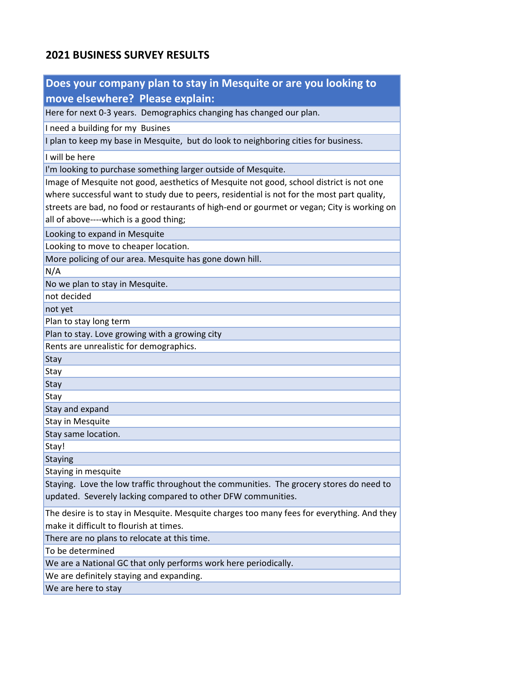## **2021 BUSINESS SURVEY RESULTS**

| Does your company plan to stay in Mesquite or are you looking to                                                                      |  |  |
|---------------------------------------------------------------------------------------------------------------------------------------|--|--|
| move elsewhere? Please explain:                                                                                                       |  |  |
| Here for next 0-3 years. Demographics changing has changed our plan.                                                                  |  |  |
| I need a building for my Busines                                                                                                      |  |  |
| I plan to keep my base in Mesquite, but do look to neighboring cities for business.                                                   |  |  |
| I will be here                                                                                                                        |  |  |
| I'm looking to purchase something larger outside of Mesquite.                                                                         |  |  |
| Image of Mesquite not good, aesthetics of Mesquite not good, school district is not one                                               |  |  |
| where successful want to study due to peers, residential is not for the most part quality,                                            |  |  |
| streets are bad, no food or restaurants of high-end or gourmet or vegan; City is working on                                           |  |  |
| all of above----which is a good thing;                                                                                                |  |  |
| Looking to expand in Mesquite                                                                                                         |  |  |
| Looking to move to cheaper location.                                                                                                  |  |  |
| More policing of our area. Mesquite has gone down hill.                                                                               |  |  |
| N/A                                                                                                                                   |  |  |
| No we plan to stay in Mesquite.                                                                                                       |  |  |
| not decided                                                                                                                           |  |  |
| not yet                                                                                                                               |  |  |
| Plan to stay long term                                                                                                                |  |  |
| Plan to stay. Love growing with a growing city                                                                                        |  |  |
| Rents are unrealistic for demographics.                                                                                               |  |  |
| Stay                                                                                                                                  |  |  |
| <b>Stay</b>                                                                                                                           |  |  |
| Stay                                                                                                                                  |  |  |
| Stay<br>Stay and expand                                                                                                               |  |  |
| <b>Stay in Mesquite</b>                                                                                                               |  |  |
| Stay same location.                                                                                                                   |  |  |
| Stay!                                                                                                                                 |  |  |
| Staying                                                                                                                               |  |  |
| Staying in mesquite                                                                                                                   |  |  |
| Staying. Love the low traffic throughout the communities. The grocery stores do need to                                               |  |  |
| updated. Severely lacking compared to other DFW communities.                                                                          |  |  |
| The desire is to stay in Mesquite. Mesquite charges too many fees for everything. And they<br>make it difficult to flourish at times. |  |  |
| There are no plans to relocate at this time.                                                                                          |  |  |
| To be determined                                                                                                                      |  |  |
| We are a National GC that only performs work here periodically.                                                                       |  |  |
| We are definitely staying and expanding.                                                                                              |  |  |
| We are here to stay                                                                                                                   |  |  |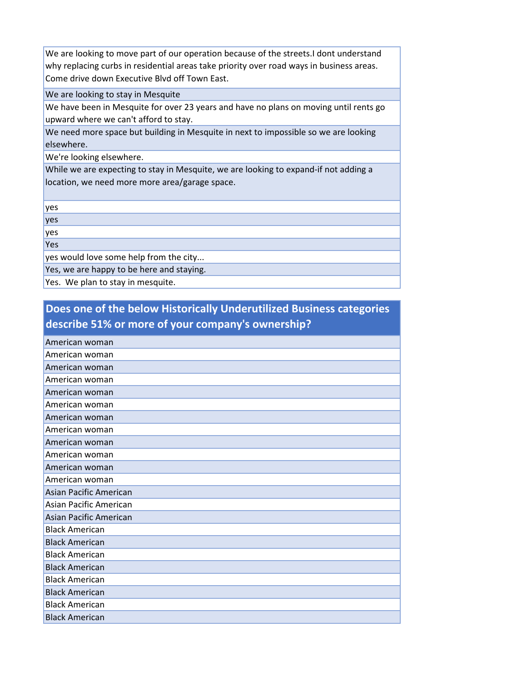We are looking to move part of our operation because of the streets.I dont understand why replacing curbs in residential areas take priority over road ways in business areas. Come drive down Executive Blvd off Town East.

We are looking to stay in Mesquite

We have been in Mesquite for over 23 years and have no plans on moving until rents go upward where we can't afford to stay.

We need more space but building in Mesquite in next to impossible so we are looking elsewhere.

We're looking elsewhere.

While we are expecting to stay in Mesquite, we are looking to expand-if not adding a location, we need more more area/garage space.

yes

yes

yes

Yes

yes would love some help from the city...

Yes, we are happy to be here and staying.

Yes. We plan to stay in mesquite.

## **Does one of the below Historically Underutilized Business categories describe 51% or more of your company's ownership?**

| American woman         |
|------------------------|
| American woman         |
| American woman         |
| American woman         |
| American woman         |
| American woman         |
| American woman         |
| American woman         |
| American woman         |
| American woman         |
| American woman         |
| American woman         |
| Asian Pacific American |
| Asian Pacific American |
| Asian Pacific American |
| <b>Black American</b>  |
| <b>Black American</b>  |
| <b>Black American</b>  |
| <b>Black American</b>  |
| <b>Black American</b>  |
| <b>Black American</b>  |
| <b>Black American</b>  |
| <b>Black American</b>  |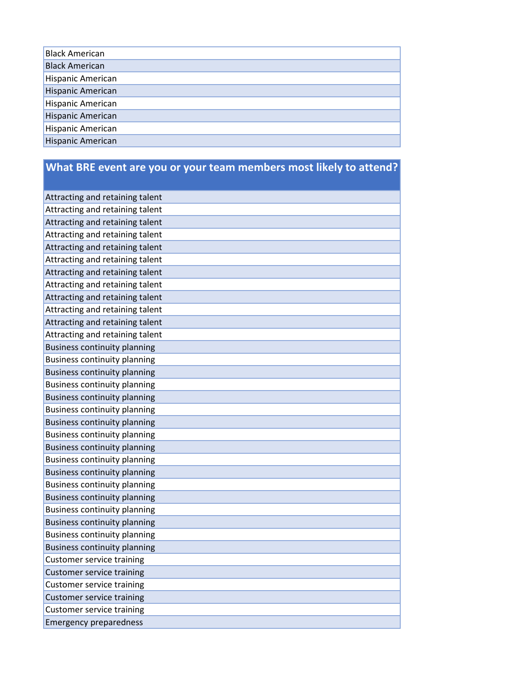## **What BRE event are you or your team members most likely to attend?**

| Attracting and retaining talent     |
|-------------------------------------|
| Attracting and retaining talent     |
| Attracting and retaining talent     |
| Attracting and retaining talent     |
| Attracting and retaining talent     |
| Attracting and retaining talent     |
| Attracting and retaining talent     |
| Attracting and retaining talent     |
| Attracting and retaining talent     |
| Attracting and retaining talent     |
| Attracting and retaining talent     |
| Attracting and retaining talent     |
| <b>Business continuity planning</b> |
| <b>Business continuity planning</b> |
| <b>Business continuity planning</b> |
| <b>Business continuity planning</b> |
| <b>Business continuity planning</b> |
| <b>Business continuity planning</b> |
| <b>Business continuity planning</b> |
| <b>Business continuity planning</b> |
| <b>Business continuity planning</b> |
| <b>Business continuity planning</b> |
| <b>Business continuity planning</b> |
| <b>Business continuity planning</b> |
| <b>Business continuity planning</b> |
| <b>Business continuity planning</b> |
| <b>Business continuity planning</b> |
| <b>Business continuity planning</b> |
| <b>Business continuity planning</b> |
| <b>Customer service training</b>    |
| <b>Customer service training</b>    |
| <b>Customer service training</b>    |
| <b>Customer service training</b>    |
| <b>Customer service training</b>    |
| <b>Emergency preparedness</b>       |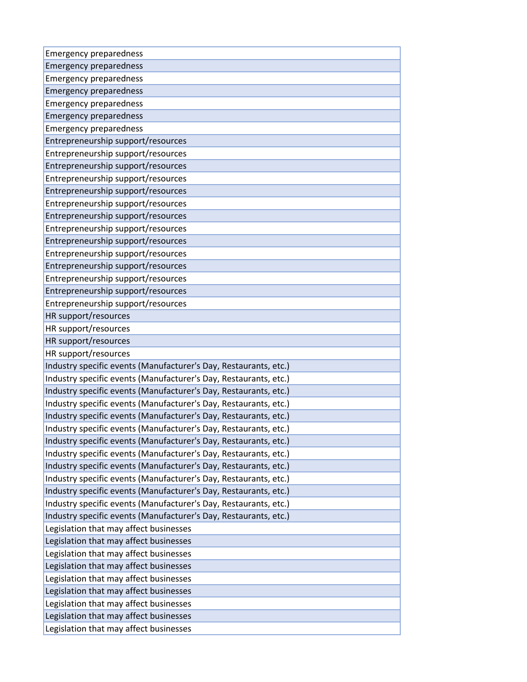| <b>Emergency preparedness</b>                                    |
|------------------------------------------------------------------|
| <b>Emergency preparedness</b>                                    |
| <b>Emergency preparedness</b>                                    |
| <b>Emergency preparedness</b>                                    |
| <b>Emergency preparedness</b>                                    |
| <b>Emergency preparedness</b>                                    |
| <b>Emergency preparedness</b>                                    |
| Entrepreneurship support/resources                               |
| Entrepreneurship support/resources                               |
| Entrepreneurship support/resources                               |
| Entrepreneurship support/resources                               |
| Entrepreneurship support/resources                               |
| Entrepreneurship support/resources                               |
| Entrepreneurship support/resources                               |
| Entrepreneurship support/resources                               |
| Entrepreneurship support/resources                               |
| Entrepreneurship support/resources                               |
| Entrepreneurship support/resources                               |
| Entrepreneurship support/resources                               |
| Entrepreneurship support/resources                               |
| Entrepreneurship support/resources                               |
| HR support/resources                                             |
| HR support/resources                                             |
| HR support/resources                                             |
| HR support/resources                                             |
| Industry specific events (Manufacturer's Day, Restaurants, etc.) |
| Industry specific events (Manufacturer's Day, Restaurants, etc.) |
| Industry specific events (Manufacturer's Day, Restaurants, etc.) |
| Industry specific events (Manufacturer's Day, Restaurants, etc.) |
| Industry specific events (Manufacturer's Day, Restaurants, etc.) |
| Industry specific events (Manufacturer's Day, Restaurants, etc.) |
| Industry specific events (Manufacturer's Day, Restaurants, etc.) |
| Industry specific events (Manufacturer's Day, Restaurants, etc.) |
| Industry specific events (Manufacturer's Day, Restaurants, etc.) |
| Industry specific events (Manufacturer's Day, Restaurants, etc.) |
| Industry specific events (Manufacturer's Day, Restaurants, etc.) |
| Industry specific events (Manufacturer's Day, Restaurants, etc.) |
| Industry specific events (Manufacturer's Day, Restaurants, etc.) |
| Legislation that may affect businesses                           |
| Legislation that may affect businesses                           |
| Legislation that may affect businesses                           |
| Legislation that may affect businesses                           |
| Legislation that may affect businesses                           |
| Legislation that may affect businesses                           |
| Legislation that may affect businesses                           |
| Legislation that may affect businesses                           |
| Legislation that may affect businesses                           |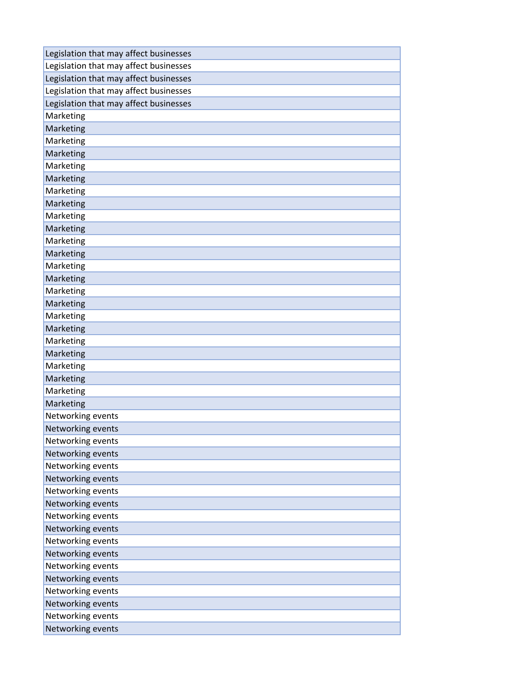| Legislation that may affect businesses |
|----------------------------------------|
| Legislation that may affect businesses |
| Legislation that may affect businesses |
| Legislation that may affect businesses |
| Legislation that may affect businesses |
| Marketing                              |
| Marketing                              |
| Marketing                              |
| Marketing                              |
| Marketing                              |
| Marketing                              |
| Marketing                              |
| Marketing                              |
| Marketing                              |
| Marketing                              |
| Marketing                              |
| Marketing                              |
| Marketing                              |
| Marketing                              |
| Marketing                              |
| Marketing                              |
| Marketing                              |
| Marketing                              |
| Marketing                              |
| Marketing                              |
| Marketing                              |
| Marketing                              |
| Marketing                              |
| Marketing                              |
| Networking events                      |
| Networking events                      |
| Networking events                      |
| Networking events                      |
| Networking events                      |
| Networking events                      |
| Networking events                      |
| Networking events                      |
| Networking events                      |
| Networking events                      |
| Networking events                      |
| Networking events                      |
| Networking events                      |
| Networking events                      |
| Networking events                      |
| Networking events                      |
| Networking events                      |
| Networking events                      |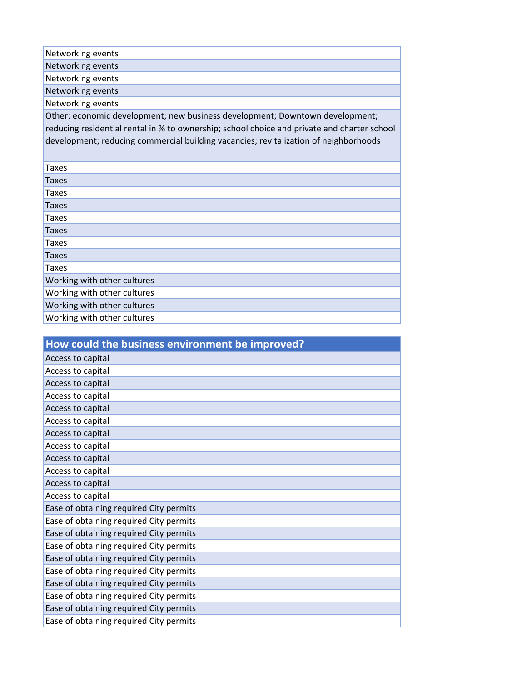| Networking events                                                                           |
|---------------------------------------------------------------------------------------------|
| Networking events                                                                           |
| Networking events                                                                           |
| Networking events                                                                           |
| Networking events                                                                           |
| Other: economic development; new business development; Downtown development;                |
| reducing residential rental in % to ownership; school choice and private and charter school |
| development; reducing commercial building vacancies; revitalization of neighborhoods        |
|                                                                                             |
| <b>Taxes</b>                                                                                |
| Taxes                                                                                       |
| Taxes                                                                                       |
| Taxes                                                                                       |
| Taxes                                                                                       |
| <b>Taxes</b>                                                                                |
| Taxes                                                                                       |
| <b>Taxes</b>                                                                                |
| <b>Taxes</b>                                                                                |
| Working with other cultures                                                                 |
| Working with other cultures                                                                 |
| Working with other cultures                                                                 |
| Working with other cultures                                                                 |

| How could the business environment be improved? |
|-------------------------------------------------|
| Access to capital                               |
| Access to capital                               |
| Access to capital                               |
| Access to capital                               |
| Access to capital                               |
| Access to capital                               |
| Access to capital                               |
| Access to capital                               |
| Access to capital                               |
| Access to capital                               |
| Access to capital                               |
| Access to capital                               |
| Ease of obtaining required City permits         |
| Ease of obtaining required City permits         |
| Ease of obtaining required City permits         |
| Ease of obtaining required City permits         |
| Ease of obtaining required City permits         |
| Ease of obtaining required City permits         |
| Ease of obtaining required City permits         |
| Ease of obtaining required City permits         |
| Ease of obtaining required City permits         |
| Ease of obtaining required City permits         |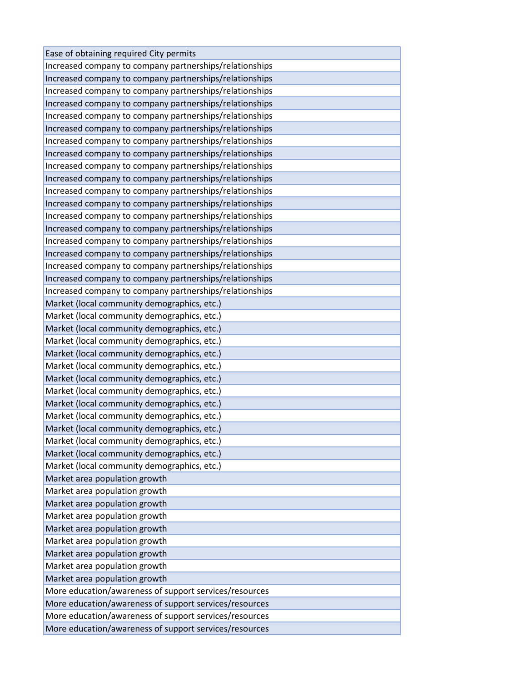| Ease of obtaining required City permits                 |
|---------------------------------------------------------|
| Increased company to company partnerships/relationships |
| Increased company to company partnerships/relationships |
| Increased company to company partnerships/relationships |
| Increased company to company partnerships/relationships |
| Increased company to company partnerships/relationships |
| Increased company to company partnerships/relationships |
| Increased company to company partnerships/relationships |
| Increased company to company partnerships/relationships |
| Increased company to company partnerships/relationships |
| Increased company to company partnerships/relationships |
| Increased company to company partnerships/relationships |
| Increased company to company partnerships/relationships |
| Increased company to company partnerships/relationships |
| Increased company to company partnerships/relationships |
| Increased company to company partnerships/relationships |
| Increased company to company partnerships/relationships |
| Increased company to company partnerships/relationships |
| Increased company to company partnerships/relationships |
| Increased company to company partnerships/relationships |
| Market (local community demographics, etc.)             |
| Market (local community demographics, etc.)             |
| Market (local community demographics, etc.)             |
| Market (local community demographics, etc.)             |
| Market (local community demographics, etc.)             |
| Market (local community demographics, etc.)             |
| Market (local community demographics, etc.)             |
| Market (local community demographics, etc.)             |
| Market (local community demographics, etc.)             |
| Market (local community demographics, etc.)             |
| Market (local community demographics, etc.)             |
| Market (local community demographics, etc.)             |
| Market (local community demographics, etc.)             |
| Market (local community demographics, etc.)             |
| Market area population growth                           |
| Market area population growth                           |
| Market area population growth                           |
| Market area population growth                           |
| Market area population growth                           |
| Market area population growth                           |
| Market area population growth                           |
| Market area population growth                           |
| Market area population growth                           |
| More education/awareness of support services/resources  |
| More education/awareness of support services/resources  |
| More education/awareness of support services/resources  |
| More education/awareness of support services/resources  |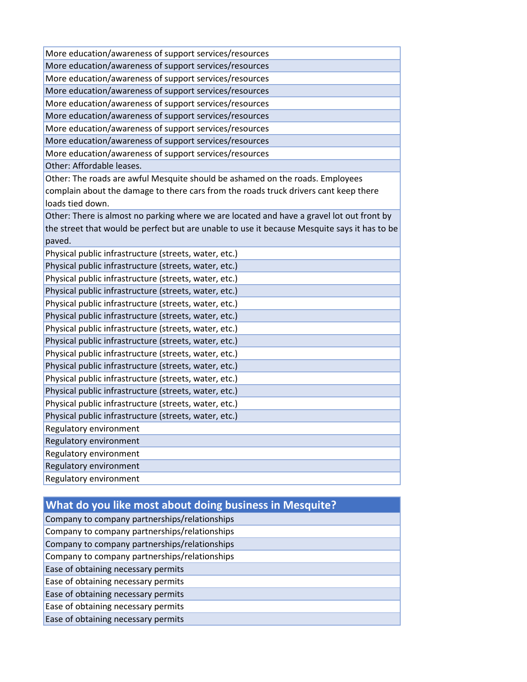| More education/awareness of support services/resources                                                                                                                                    |
|-------------------------------------------------------------------------------------------------------------------------------------------------------------------------------------------|
| More education/awareness of support services/resources                                                                                                                                    |
| More education/awareness of support services/resources                                                                                                                                    |
| More education/awareness of support services/resources                                                                                                                                    |
| More education/awareness of support services/resources                                                                                                                                    |
| More education/awareness of support services/resources                                                                                                                                    |
| More education/awareness of support services/resources                                                                                                                                    |
| More education/awareness of support services/resources                                                                                                                                    |
| More education/awareness of support services/resources                                                                                                                                    |
| Other: Affordable leases.                                                                                                                                                                 |
| Other: The roads are awful Mesquite should be ashamed on the roads. Employees<br>complain about the damage to there cars from the roads truck drivers cant keep there<br>loads tied down. |
| Other: There is almost no parking where we are located and have a gravel lot out front by                                                                                                 |
| the street that would be perfect but are unable to use it because Mesquite says it has to be                                                                                              |
| paved.                                                                                                                                                                                    |
| Physical public infrastructure (streets, water, etc.)                                                                                                                                     |
| Physical public infrastructure (streets, water, etc.)                                                                                                                                     |
| Physical public infrastructure (streets, water, etc.)                                                                                                                                     |
| Physical public infrastructure (streets, water, etc.)                                                                                                                                     |
| Physical public infrastructure (streets, water, etc.)                                                                                                                                     |
| Physical public infrastructure (streets, water, etc.)                                                                                                                                     |
| Physical public infrastructure (streets, water, etc.)                                                                                                                                     |
| Physical public infrastructure (streets, water, etc.)                                                                                                                                     |
| Physical public infrastructure (streets, water, etc.)                                                                                                                                     |
| Physical public infrastructure (streets, water, etc.)                                                                                                                                     |
| Physical public infrastructure (streets, water, etc.)                                                                                                                                     |
| Physical public infrastructure (streets, water, etc.)                                                                                                                                     |
| Physical public infrastructure (streets, water, etc.)                                                                                                                                     |
| Physical public infrastructure (streets, water, etc.)                                                                                                                                     |
| Regulatory environment                                                                                                                                                                    |
| Regulatory environment                                                                                                                                                                    |
| Regulatory environment                                                                                                                                                                    |
| Regulatory environment                                                                                                                                                                    |
| Regulatory environment                                                                                                                                                                    |
|                                                                                                                                                                                           |

## **What do you like most about doing business in Mesquite?**

| Company to company partnerships/relationships |  |
|-----------------------------------------------|--|
| Company to company partnerships/relationships |  |
| Company to company partnerships/relationships |  |
| Company to company partnerships/relationships |  |
| Ease of obtaining necessary permits           |  |
| Ease of obtaining necessary permits           |  |
| Ease of obtaining necessary permits           |  |
| Ease of obtaining necessary permits           |  |
| Ease of obtaining necessary permits           |  |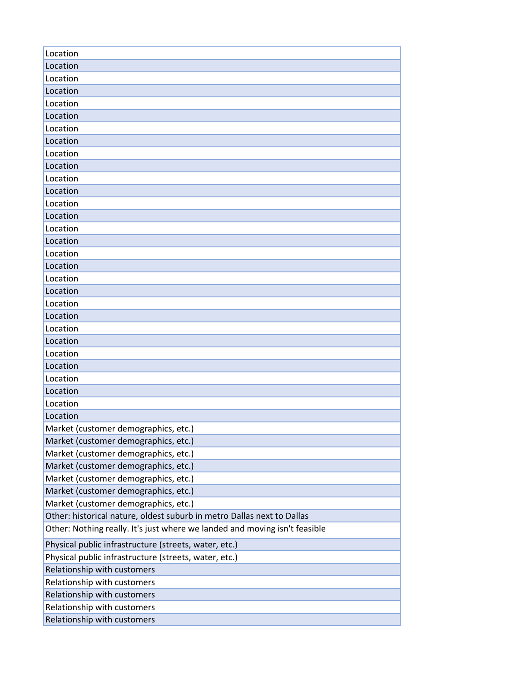| Location                                                                   |
|----------------------------------------------------------------------------|
| Location                                                                   |
| Location                                                                   |
| Location                                                                   |
| Location                                                                   |
| Location                                                                   |
| Location                                                                   |
| Location                                                                   |
| Location                                                                   |
| Location                                                                   |
| Location                                                                   |
| Location                                                                   |
| Location                                                                   |
| Location                                                                   |
| Location                                                                   |
| Location                                                                   |
| Location                                                                   |
| Location                                                                   |
| Location                                                                   |
| Location                                                                   |
| Location                                                                   |
| Location                                                                   |
| Location                                                                   |
| Location                                                                   |
| Location                                                                   |
| Location                                                                   |
| Location                                                                   |
| Location                                                                   |
| Location                                                                   |
| Location                                                                   |
| Market (customer demographics, etc.)                                       |
| Market (customer demographics, etc.)                                       |
| Market (customer demographics, etc.)                                       |
| Market (customer demographics, etc.)                                       |
| Market (customer demographics, etc.)                                       |
| Market (customer demographics, etc.)                                       |
| Market (customer demographics, etc.)                                       |
| Other: historical nature, oldest suburb in metro Dallas next to Dallas     |
| Other: Nothing really. It's just where we landed and moving isn't feasible |
| Physical public infrastructure (streets, water, etc.)                      |
| Physical public infrastructure (streets, water, etc.)                      |
| Relationship with customers                                                |
| Relationship with customers                                                |
| Relationship with customers                                                |
| Relationship with customers                                                |
| Relationship with customers                                                |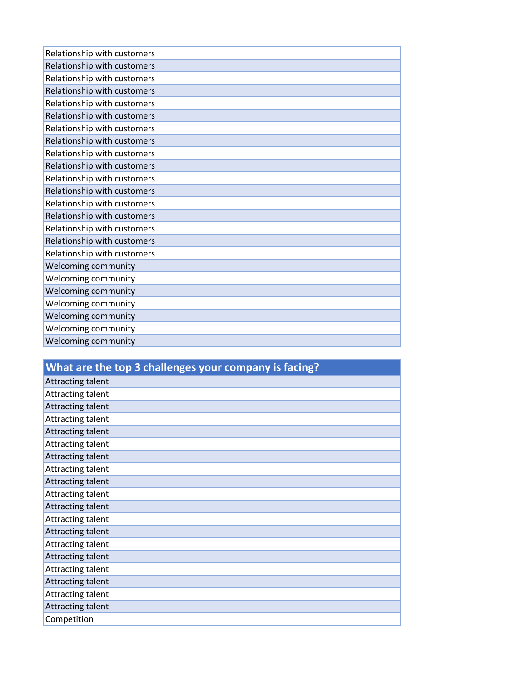| Relationship with customers |
|-----------------------------|
| Relationship with customers |
| Relationship with customers |
| Relationship with customers |
| Relationship with customers |
| Relationship with customers |
| Relationship with customers |
| Relationship with customers |
| Relationship with customers |
| Relationship with customers |
| Relationship with customers |
| Relationship with customers |
| Relationship with customers |
| Relationship with customers |
| Relationship with customers |
| Relationship with customers |
| Relationship with customers |
| Welcoming community         |
| Welcoming community         |
| Welcoming community         |
| Welcoming community         |
| Welcoming community         |
| Welcoming community         |
| Welcoming community         |
|                             |

| What are the top 3 challenges your company is facing? |
|-------------------------------------------------------|
| Attracting talent                                     |
| Attracting talent                                     |
| Attracting talent                                     |
| Attracting talent                                     |
| Attracting talent                                     |
| Attracting talent                                     |
| Attracting talent                                     |
| Attracting talent                                     |
| Attracting talent                                     |
| Attracting talent                                     |
| Attracting talent                                     |
| Attracting talent                                     |
| Attracting talent                                     |
| Attracting talent                                     |
| Attracting talent                                     |
| Attracting talent                                     |
| Attracting talent                                     |
| Attracting talent                                     |
| Attracting talent                                     |
| Competition                                           |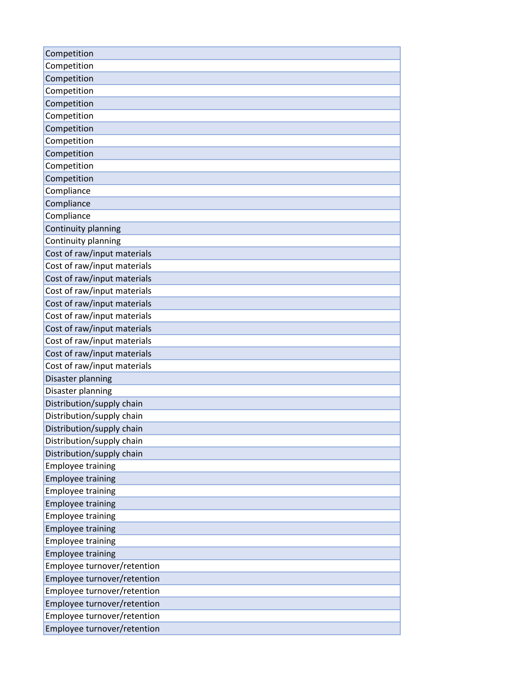| Competition                 |
|-----------------------------|
| Competition                 |
| Competition                 |
| Competition                 |
| Competition                 |
| Competition                 |
| Competition                 |
| Competition                 |
| Competition                 |
| Competition                 |
| Competition                 |
| Compliance                  |
| Compliance                  |
| Compliance                  |
| Continuity planning         |
| Continuity planning         |
| Cost of raw/input materials |
| Cost of raw/input materials |
| Cost of raw/input materials |
| Cost of raw/input materials |
| Cost of raw/input materials |
| Cost of raw/input materials |
| Cost of raw/input materials |
| Cost of raw/input materials |
| Cost of raw/input materials |
| Cost of raw/input materials |
| Disaster planning           |
| Disaster planning           |
| Distribution/supply chain   |
| Distribution/supply chain   |
| Distribution/supply chain   |
| Distribution/supply chain   |
| Distribution/supply chain   |
| <b>Employee training</b>    |
| <b>Employee training</b>    |
| <b>Employee training</b>    |
| <b>Employee training</b>    |
| <b>Employee training</b>    |
| <b>Employee training</b>    |
| <b>Employee training</b>    |
| <b>Employee training</b>    |
| Employee turnover/retention |
| Employee turnover/retention |
| Employee turnover/retention |
| Employee turnover/retention |
| Employee turnover/retention |
| Employee turnover/retention |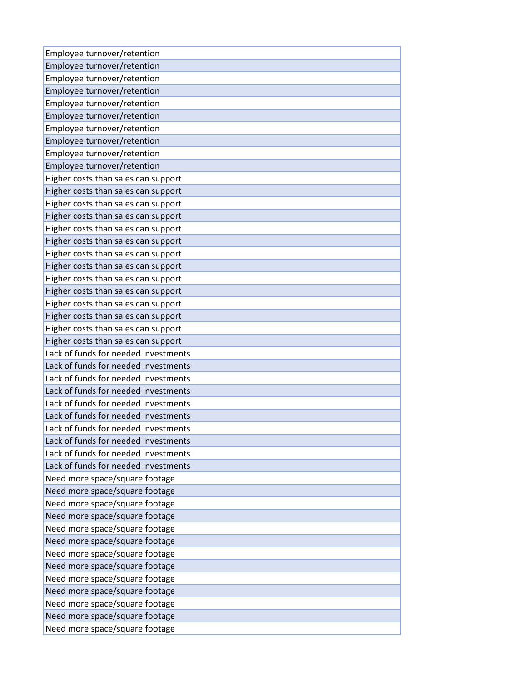| Employee turnover/retention          |
|--------------------------------------|
| Employee turnover/retention          |
| Employee turnover/retention          |
| Employee turnover/retention          |
| Employee turnover/retention          |
| Employee turnover/retention          |
| Employee turnover/retention          |
| Employee turnover/retention          |
| Employee turnover/retention          |
| Employee turnover/retention          |
| Higher costs than sales can support  |
| Higher costs than sales can support  |
| Higher costs than sales can support  |
| Higher costs than sales can support  |
| Higher costs than sales can support  |
| Higher costs than sales can support  |
| Higher costs than sales can support  |
| Higher costs than sales can support  |
| Higher costs than sales can support  |
| Higher costs than sales can support  |
| Higher costs than sales can support  |
| Higher costs than sales can support  |
| Higher costs than sales can support  |
| Higher costs than sales can support  |
| Lack of funds for needed investments |
| Lack of funds for needed investments |
| Lack of funds for needed investments |
| Lack of funds for needed investments |
| Lack of funds for needed investments |
| Lack of funds for needed investments |
| Lack of funds for needed investments |
| Lack of funds for needed investments |
| Lack of funds for needed investments |
| Lack of funds for needed investments |
| Need more space/square footage       |
| Need more space/square footage       |
| Need more space/square footage       |
| Need more space/square footage       |
| Need more space/square footage       |
| Need more space/square footage       |
| Need more space/square footage       |
| Need more space/square footage       |
| Need more space/square footage       |
| Need more space/square footage       |
| Need more space/square footage       |
| Need more space/square footage       |
| Need more space/square footage       |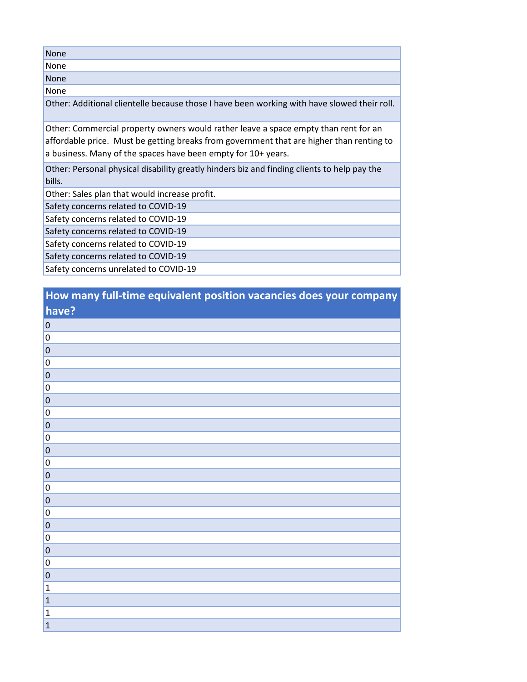| <b>None</b>                                                                                                                                                                                                                                      |
|--------------------------------------------------------------------------------------------------------------------------------------------------------------------------------------------------------------------------------------------------|
| None                                                                                                                                                                                                                                             |
| <b>None</b>                                                                                                                                                                                                                                      |
| None                                                                                                                                                                                                                                             |
| Other: Additional clientelle because those I have been working with have slowed their roll.                                                                                                                                                      |
| Other: Commercial property owners would rather leave a space empty than rent for an<br>affordable price. Must be getting breaks from government that are higher than renting to<br>a business. Many of the spaces have been empty for 10+ years. |
| Other: Personal physical disability greatly hinders biz and finding clients to help pay the<br>bills.                                                                                                                                            |
| Other: Sales plan that would increase profit.                                                                                                                                                                                                    |
| Safety concerns related to COVID-19                                                                                                                                                                                                              |
| Safety concerns related to COVID-19                                                                                                                                                                                                              |
| Safety concerns related to COVID-19                                                                                                                                                                                                              |
| Safety concerns related to COVID-19                                                                                                                                                                                                              |
| Safety concerns related to COVID-19                                                                                                                                                                                                              |
| Safety concerns unrelated to COVID-19                                                                                                                                                                                                            |

| How many full-time equivalent position vacancies does your company |  |
|--------------------------------------------------------------------|--|
| have?                                                              |  |

| $\overline{0}$          |
|-------------------------|
| $\overline{0}$          |
| $\overline{\mathbf{0}}$ |
| $\overline{0}$          |
| $\overline{\mathbf{0}}$ |
| $\overline{\mathbf{0}}$ |
| $\overline{\mathbf{0}}$ |
| $\overline{0}$          |
| $\overline{\mathbf{0}}$ |
| $\vert 0 \vert$         |
| $\overline{0}$          |
| $\overline{0}$          |
| $\overline{\mathbf{0}}$ |
| $\overline{0}$          |
| $\overline{\mathbf{0}}$ |
| $\overline{0}$          |
| $\overline{0}$          |
| $\overline{0}$          |
| $\overline{0}$          |
| $\overline{0}$          |
| $\overline{0}$          |
| $\mathbf 1$             |
| $\mathbf{1}$            |
| $\mathbf 1$             |
| $\mathbf{1}$            |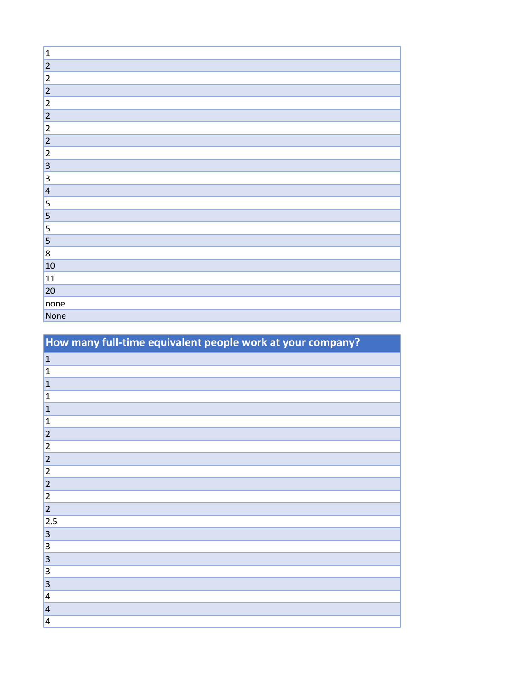| $\vert$ 1               |
|-------------------------|
| 2                       |
| 2                       |
| 2                       |
| 2                       |
| 2                       |
| 2                       |
| 2                       |
| $\overline{2}$          |
| $\vert$ 3               |
| $\vert$ 3               |
| $\vert 4 \vert$         |
| $\overline{\mathbf{5}}$ |
| 5                       |
| 5                       |
| $\vert$ 5               |
| $\vert$ 8               |
| 10                      |
| 11                      |
| 20                      |
| none                    |
| None                    |

| How many full-time equivalent people work at your company? |
|------------------------------------------------------------|
| $\vert$ 1                                                  |
| 1                                                          |
| $\mathbf{1}$                                               |
| $\mathbf{1}$                                               |
| $\vert$ 1                                                  |
| $\vert$ 1                                                  |
| $\overline{2}$                                             |
| 2                                                          |
| 2                                                          |
| $ 2\rangle$                                                |
| 2                                                          |
| $\overline{2}$                                             |
| 2                                                          |
| 2.5                                                        |
| $\vert 3 \vert$                                            |
| $\vert 3 \vert$                                            |
| 3                                                          |
| $\overline{\mathbf{3}}$                                    |
| 3                                                          |
| 4                                                          |
| $\vert 4$                                                  |
| $\vert 4$                                                  |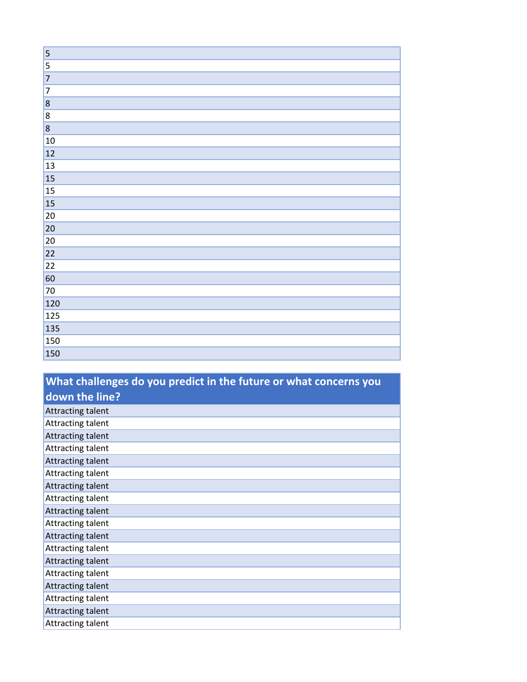| $\vert$ 5 |
|-----------|
| $\vert$ 5 |
| 7         |
| 7         |
| 8         |
| $\vert$ 8 |
| 8         |
| 10        |
| 12        |
| 13        |
| 15        |
| 15        |
| 15        |
| 20        |
| 20        |
| 20        |
| 22        |
| 22        |
| 60        |
| 70        |
| 120       |
| 125       |
| 135       |
| 150       |
| 150       |

| What challenges do you predict in the future or what concerns you |
|-------------------------------------------------------------------|
| down the line?                                                    |
| <b>Attracting talent</b>                                          |
| Attracting talent                                                 |
| Attracting talent                                                 |
| <b>Attracting talent</b>                                          |
| Attracting talent                                                 |
| Attracting talent                                                 |
| <b>Attracting talent</b>                                          |
| Attracting talent                                                 |
| Attracting talent                                                 |
| <b>Attracting talent</b>                                          |
| <b>Attracting talent</b>                                          |
| Attracting talent                                                 |
| <b>Attracting talent</b>                                          |
| Attracting talent                                                 |
| Attracting talent                                                 |
| Attracting talent                                                 |
| <b>Attracting talent</b>                                          |
| Attracting talent                                                 |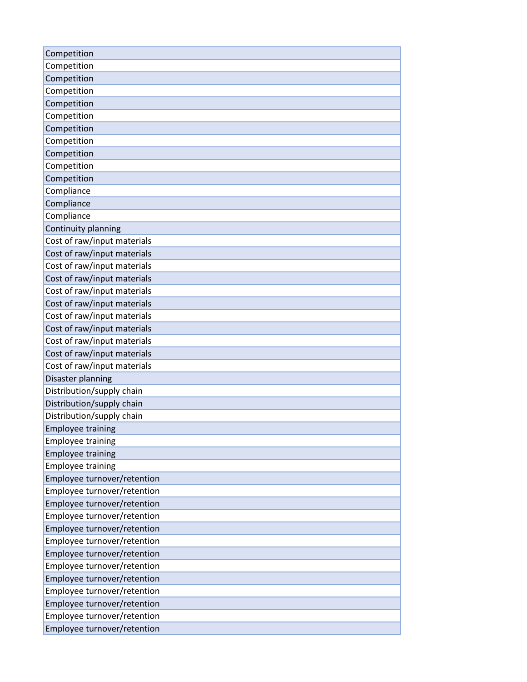| Competition                 |
|-----------------------------|
| Competition                 |
| Competition                 |
| Competition                 |
| Competition                 |
| Competition                 |
| Competition                 |
| Competition                 |
| Competition                 |
| Competition                 |
| Competition                 |
| Compliance                  |
| Compliance                  |
| Compliance                  |
| Continuity planning         |
| Cost of raw/input materials |
| Cost of raw/input materials |
| Cost of raw/input materials |
| Cost of raw/input materials |
| Cost of raw/input materials |
| Cost of raw/input materials |
| Cost of raw/input materials |
| Cost of raw/input materials |
| Cost of raw/input materials |
| Cost of raw/input materials |
| Cost of raw/input materials |
| Disaster planning           |
| Distribution/supply chain   |
| Distribution/supply chain   |
| Distribution/supply chain   |
| <b>Employee training</b>    |
| <b>Employee training</b>    |
| <b>Employee training</b>    |
| <b>Employee training</b>    |
| Employee turnover/retention |
| Employee turnover/retention |
| Employee turnover/retention |
| Employee turnover/retention |
| Employee turnover/retention |
| Employee turnover/retention |
| Employee turnover/retention |
| Employee turnover/retention |
| Employee turnover/retention |
| Employee turnover/retention |
| Employee turnover/retention |
| Employee turnover/retention |
| Employee turnover/retention |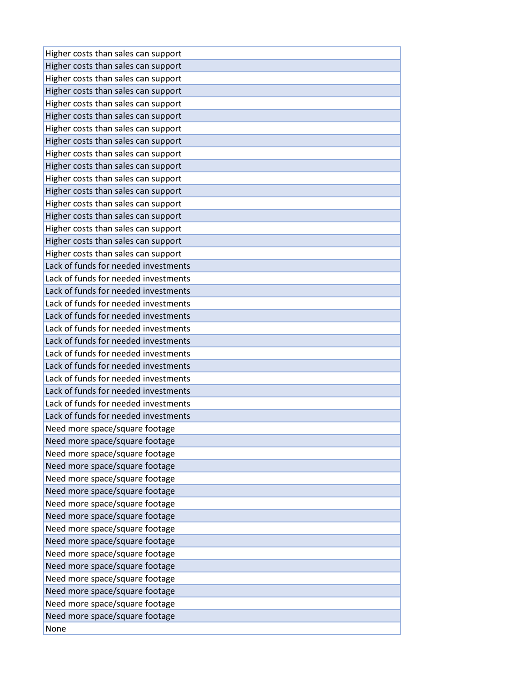| Higher costs than sales can support  |
|--------------------------------------|
| Higher costs than sales can support  |
| Higher costs than sales can support  |
| Higher costs than sales can support  |
| Higher costs than sales can support  |
| Higher costs than sales can support  |
| Higher costs than sales can support  |
| Higher costs than sales can support  |
| Higher costs than sales can support  |
| Higher costs than sales can support  |
| Higher costs than sales can support  |
| Higher costs than sales can support  |
| Higher costs than sales can support  |
| Higher costs than sales can support  |
| Higher costs than sales can support  |
| Higher costs than sales can support  |
| Higher costs than sales can support  |
| Lack of funds for needed investments |
| Lack of funds for needed investments |
| Lack of funds for needed investments |
| Lack of funds for needed investments |
| Lack of funds for needed investments |
| Lack of funds for needed investments |
| Lack of funds for needed investments |
| Lack of funds for needed investments |
| Lack of funds for needed investments |
| Lack of funds for needed investments |
| Lack of funds for needed investments |
| Lack of funds for needed investments |
| Lack of funds for needed investments |
| Need more space/square footage       |
| Need more space/square footage       |
| Need more space/square footage       |
| Need more space/square footage       |
| Need more space/square footage       |
| Need more space/square footage       |
| Need more space/square footage       |
| Need more space/square footage       |
| Need more space/square footage       |
| Need more space/square footage       |
| Need more space/square footage       |
| Need more space/square footage       |
| Need more space/square footage       |
| Need more space/square footage       |
| Need more space/square footage       |
| Need more space/square footage       |
| None                                 |